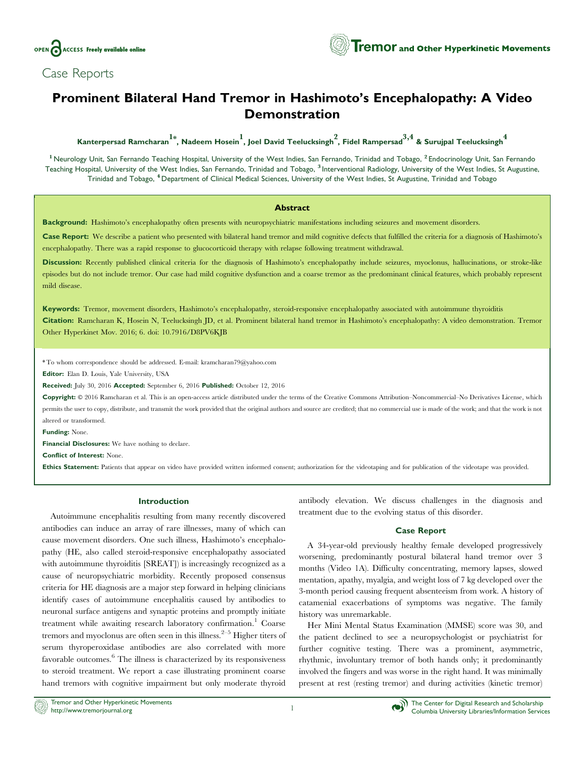

Case Reports

# **Tremor** and Other Hyperkinetic Movements

## Prominent Bilateral Hand Tremor in Hashimoto's Encephalopathy: A Video Demonstration

Kanterpersad Ramcharan $1^*$ , Nadeem Hosein , Joel David Teelucksingh $^2$ , Fidel Rampersad $^{3,4}$  & Surujpal Teelucksingh $^4$ 

<sup>1</sup> Neurology Unit, San Fernando Teaching Hospital, University of the West Indies, San Fernando, Trinidad and Tobago, <sup>2</sup> Endocrinology Unit, San Fernando Teaching Hospital, University of the West Indies, San Fernando, Trinidad and Tobago, <sup>3</sup> Interventional Radiology, University of the West Indies, St Augustine, Trinidad and Tobago, <sup>4</sup> Department of Clinical Medical Sciences, University of the West Indies, St Augustine, Trinidad and Tobago

## Abstract

Background: Hashimoto's encephalopathy often presents with neuropsychiatric manifestations including seizures and movement disorders.

Case Report: We describe a patient who presented with bilateral hand tremor and mild cognitive defects that fulfilled the criteria for a diagnosis of Hashimoto's encephalopathy. There was a rapid response to glucocorticoid therapy with relapse following treatment withdrawal.

Discussion: Recently published clinical criteria for the diagnosis of Hashimoto's encephalopathy include seizures, myoclonus, hallucinations, or stroke-like episodes but do not include tremor. Our case had mild cognitive dysfunction and a coarse tremor as the predominant clinical features, which probably represent mild disease.

Keywords: Tremor, movement disorders, Hashimoto's encephalopathy, steroid-responsive encephalopathy associated with autoimmune thyroiditis Citation: Ramcharan K, Hosein N, Teelucksingh JD, et al. Prominent bilateral hand tremor in Hashimoto's encephalopathy: A video demonstration. Tremor Other Hyperkinet Mov. 2016; 6. doi: [10.7916/D8PV6KJB](http://dx.doi.org/10.7916/D8PV6KJB)

\* To whom correspondence should be addressed. E-mail: [kramcharan79@yahoo.com](mailto:kramcharan79@yahoo.com)

Editor: Elan D. Louis, Yale University, USA

Received: July 30, 2016 Accepted: September 6, 2016 Published: October 12, 2016

Copyright:  $\circ$  2016 Ramcharan et al. This is an open-access article distributed under the terms of the [Creative Commons Attribution–Noncommercial–No Derivatives](https://creativecommons.org/licenses/by-nc-nd/4.0/) License, which permits the user to copy, distribute, and transmit the work provided that the original authors and source are credited; that no commercial use is made of the work; and that the work is not altered or transformed.

Funding: None.

Financial Disclosures: We have nothing to declare.

Conflict of Interest: None.

Ethics Statement: Patients that appear on video have provided written informed consent; authorization for the videotaping and for publication of the videotape was provided.

## Introduction

Autoimmune encephalitis resulting from many recently discovered antibodies can induce an array of rare illnesses, many of which can cause movement disorders. One such illness, Hashimoto's encephalopathy (HE, also called steroid-responsive encephalopathy associated with autoimmune thyroiditis [SREAT]) is increasingly recognized as a cause of neuropsychiatric morbidity. Recently proposed consensus criteria for HE diagnosis are a major step forward in helping clinicians identify cases of autoimmune encephalitis caused by antibodies to neuronal surface antigens and synaptic proteins and promptly initiate treatment while awaiting research laboratory confirmation.<sup>1</sup> Coarse tremors and myoclonus are often seen in this illness.<sup>2–5</sup> Higher titers of serum thyroperoxidase antibodies are also correlated with more favorable outcomes. $6$  The illness is characterized by its responsiveness to steroid treatment. We report a case illustrating prominent coarse hand tremors with cognitive impairment but only moderate thyroid

antibody elevation. We discuss challenges in the diagnosis and treatment due to the evolving status of this disorder.

## Case Report

A 34-year-old previously healthy female developed progressively worsening, predominantly postural bilateral hand tremor over 3 months (Video 1A). Difficulty concentrating, memory lapses, slowed mentation, apathy, myalgia, and weight loss of 7 kg developed over the 3-month period causing frequent absenteeism from work. A history of catamenial exacerbations of symptoms was negative. The family history was unremarkable.

Her Mini Mental Status Examination (MMSE) score was 30, and the patient declined to see a neuropsychologist or psychiatrist for further cognitive testing. There was a prominent, asymmetric, rhythmic, involuntary tremor of both hands only; it predominantly involved the fingers and was worse in the right hand. It was minimally present at rest (resting tremor) and during activities (kinetic tremor)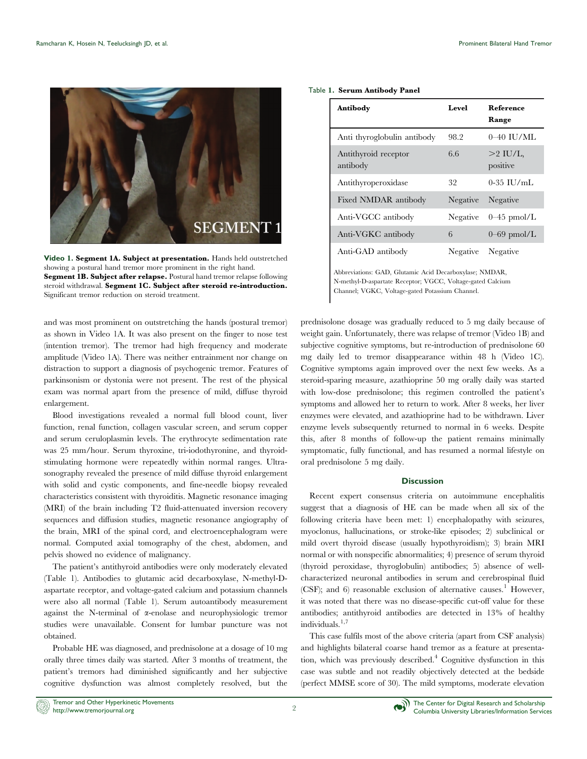<span id="page-1-0"></span>

Video 1. Segment 1A. Subject at presentation. Hands held outstretched showing a postural hand tremor more prominent in the right hand. Segment 1B. Subject after relapse. Postural hand tremor relapse following steroid withdrawal. Segment 1C. Subject after steroid re-introduction. Significant tremor reduction on steroid treatment.

and was most prominent on outstretching the hands (postural tremor) as shown in Video 1A. It was also present on the finger to nose test (intention tremor). The tremor had high frequency and moderate amplitude (Video 1A). There was neither entrainment nor change on distraction to support a diagnosis of psychogenic tremor. Features of parkinsonism or dystonia were not present. The rest of the physical exam was normal apart from the presence of mild, diffuse thyroid enlargement.

Blood investigations revealed a normal full blood count, liver function, renal function, collagen vascular screen, and serum copper and serum ceruloplasmin levels. The erythrocyte sedimentation rate was 25 mm/hour. Serum thyroxine, tri-iodothyronine, and thyroidstimulating hormone were repeatedly within normal ranges. Ultrasonography revealed the presence of mild diffuse thyroid enlargement with solid and cystic components, and fine-needle biopsy revealed characteristics consistent with thyroiditis. Magnetic resonance imaging (MRI) of the brain including T2 fluid-attenuated inversion recovery sequences and diffusion studies, magnetic resonance angiography of the brain, MRI of the spinal cord, and electroencephalogram were normal. Computed axial tomography of the chest, abdomen, and pelvis showed no evidence of malignancy.

The patient's antithyroid antibodies were only moderately elevated (Table 1). Antibodies to glutamic acid decarboxylase, N-methyl-Daspartate receptor, and voltage-gated calcium and potassium channels were also all normal (Table 1). Serum autoantibody measurement against the N-terminal of a-enolase and neurophysiologic tremor studies were unavailable. Consent for lumbar puncture was not obtained.

Probable HE was diagnosed, and prednisolone at a dosage of 10 mg orally three times daily was started. After 3 months of treatment, the patient's tremors had diminished significantly and her subjective cognitive dysfunction was almost completely resolved, but the

## Table 1. Serum Antibody Panel

| Antibody                         | Level    | Reference<br>Range     |
|----------------------------------|----------|------------------------|
| Anti thyroglobulin antibody      | 98.2     | $0-40$ HJ/ML           |
| Antithyroid receptor<br>antibody | 6.6      | $>2$ IU/L.<br>positive |
| Antithyroperoxidase              | 32       | $0-35$ IU/mL           |
| Fixed NMDAR antibody             | Negative | Negative               |
| Anti-VGCC antibody               | Negative | $0-45$ pmol/L          |
| Anti-VGKC antibody               | 6        | $0$ –69 pmol/L         |
| Anti-GAD antibody                | Negative | Negative               |

Abbreviations: GAD, Glutamic Acid Decarboxylase; NMDAR, N-methyl-D-aspartate Receptor; VGCC, Voltage-gated Calcium Channel; VGKC, Voltage-gated Potassium Channel.

prednisolone dosage was gradually reduced to 5 mg daily because of weight gain. Unfortunately, there was relapse of tremor (Video 1B) and subjective cognitive symptoms, but re-introduction of prednisolone 60 mg daily led to tremor disappearance within 48 h (Video 1C). Cognitive symptoms again improved over the next few weeks. As a steroid-sparing measure, azathioprine 50 mg orally daily was started with low-dose prednisolone; this regimen controlled the patient's symptoms and allowed her to return to work. After 8 weeks, her liver enzymes were elevated, and azathioprine had to be withdrawn. Liver enzyme levels subsequently returned to normal in 6 weeks. Despite this, after 8 months of follow-up the patient remains minimally symptomatic, fully functional, and has resumed a normal lifestyle on oral prednisolone 5 mg daily.

#### **Discussion**

Recent expert consensus criteria on autoimmune encephalitis suggest that a diagnosis of HE can be made when all six of the following criteria have been met: 1) encephalopathy with seizures, myoclonus, hallucinations, or stroke-like episodes; 2) subclinical or mild overt thyroid disease (usually hypothyroidism); 3) brain MRI normal or with nonspecific abnormalities; 4) presence of serum thyroid (thyroid peroxidase, thyroglobulin) antibodies; 5) absence of wellcharacterized neuronal antibodies in serum and cerebrospinal fluid (CSF); and 6) reasonable exclusion of alternative causes.<sup>1</sup> However, it was noted that there was no disease-specific cut-off value for these antibodies; antithyroid antibodies are detected in 13% of healthy individuals. $1,7$ 

This case fulfils most of the above criteria (apart from CSF analysis) and highlights bilateral coarse hand tremor as a feature at presentation, which was previously described.<sup>4</sup> Cognitive dysfunction in this case was subtle and not readily objectively detected at the bedside (perfect MMSE score of 30). The mild symptoms, moderate elevation